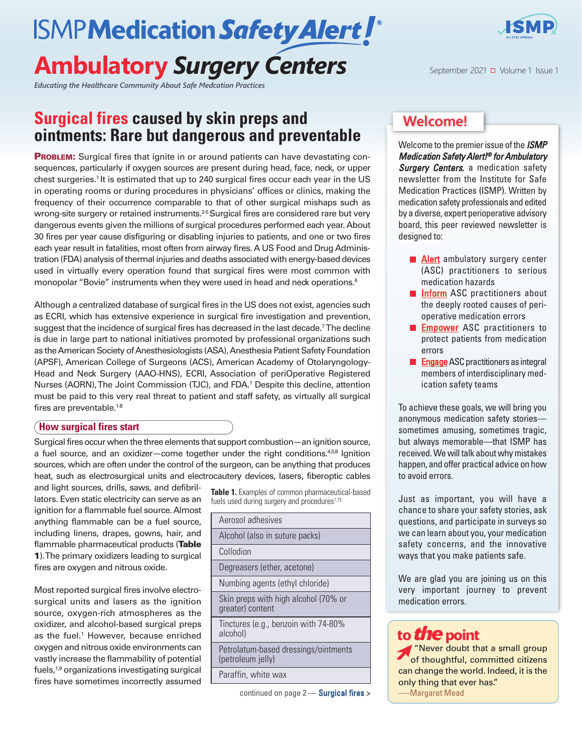# **ISMPMedication Safety Alert! Ambulatory** *Surgery Centers*

*Educating the Healthcare Community About Safe Medcation Practices*

## **Surgical fires caused by skin preps and ointments: Rare but dangerous and preventable**

**PROBLEM:** Surgical fires that ignite in or around patients can have devastating consequences, particularly if oxygen sources are present during head, face, neck, or upper chest surgeries. <sup>1</sup> It is estimated that up to 240 surgical fires occur each year in the US in operating rooms or during procedures in physicians' offices or clinics, making the frequency of their occurrence comparable to that of other surgical mishaps such as wrong-site surgery or retained instruments.<sup>25</sup> Surgical fires are considered rare but very dangerous events given the millions of surgical procedures performed each year. About 30 fires per year cause disfiguring or disabling injuries to patients, and one or two fires each year result in fatalities, most often from airway fires. A US Food and Drug Administration (FDA) analysis of thermal injuries and deaths associated with energy-based devices used in virtually every operation found that surgical fires were most common with monopolar "Bovie" instruments when they were used in head and neck operations. 6

Although a centralized database of surgical fires in the US does not exist, agencies such as ECRI, which has extensive experience in surgical fire investigation and prevention, suggest that the incidence of surgical fires has decreased in the last decade. 7The decline is due in large part to national initiatives promoted by professional organizations such as the American Society of Anesthesiologists (ASA), Anesthesia Patient Safety Foundation (APSF), American College of Surgeons (ACS), American Academy of Otolaryngology-Head and Neck Surgery (AAO-HNS), ECRI, Association of periOperative Registered Nurses (AORN),The Joint Commission (TJC), and FDA. <sup>1</sup> Despite this decline, attention must be paid to this very real threat to patient and staff safety, as virtually all surgical fires are preventable. 1-8

### **How surgical fires start**

Surgical fires occur when the three elements that support combustion—an ignition source, a fuel source, and an oxidizer-come together under the right conditions.<sup>458</sup> Ignition sources, which are often under the control of the surgeon, can be anything that produces heat, such as electrosurgical units and electrocautery devices, lasers, fiberoptic cables

and light sources, drills, saws, and defibrillators. Even static electricity can serve as an ignition for a flammable fuel source.Almost anything flammable can be a fuel source, including linens, drapes, gowns, hair, and flammable pharmaceutical products (**Table 1**).The primary oxidizers leading to surgical fires are oxygen and nitrous oxide.

Most reported surgical fires involve electrosurgical units and lasers as the ignition source, oxygen-rich atmospheres as the oxidizer, and alcohol-based surgical preps as the fuel. <sup>1</sup> However, because enriched oxygen and nitrous oxide environments can vastly increase the flammability of potential fuels,<sup>1,9</sup> organizations investigating surgical fires have sometimes incorrectly assumed

**Table 1.** Examples of common pharmaceutical-based fuels used during surgery and procedures<sup>1,15</sup>

| Aerosol adhesives                                         |
|-----------------------------------------------------------|
| Alcohol (also in suture packs)                            |
| Collodion                                                 |
| Degreasers (ether, acetone)                               |
| Numbing agents (ethyl chloride)                           |
| Skin preps with high alcohol (70% or<br>greater) content  |
| Tinctures (e.g., benzoin with 74-80%<br>alcohol)          |
| Petrolatum-based dressings/ointments<br>(petroleum jelly) |
| Paraffin, white wax                                       |



### **Welcome!**

Welcome to the premierissue of the *ISMP Medication Safety Alert!® for Ambulatory Surgery Centers*, a medication safety newsletter from the Institute for Safe Medication Practices (ISMP). Written by medication safety professionals and edited by a diverse, expert perioperative advisory board, this peer reviewed newsletter is designed to:

- **Alert** ambulatory surgery center (ASC) practitioners to serious medication hazards
- **Inform** ASC practitioners about the deeply rooted causes of perioperative medication errors
- **Empower** ASC practitioners to protect patients from medication errors
- **Engage** ASC practitioners as integral members of interdisciplinary medication safety teams

To achieve these goals, we will bring you anonymous medication safety stories sometimes amusing, sometimes tragic, but always memorable—that ISMP has received.We will talk about why mistakes happen, and offer practical advice on how to avoid errors.

Just as important, you will have a chance to share your safety stories, ask questions, and participate in surveys so we can learn about you, your medication safety concerns, and the innovative ways that you make patients safe.

We are glad you are joining us on this very important journey to prevent medication errors.

### **to***the***point**

continued on page 2 — *SAFETY* **briefs >** —-Margaret Mead "Never doubt that a small group of thoughtful, committed citizens can change the world. Indeed, it is the only thing that ever has."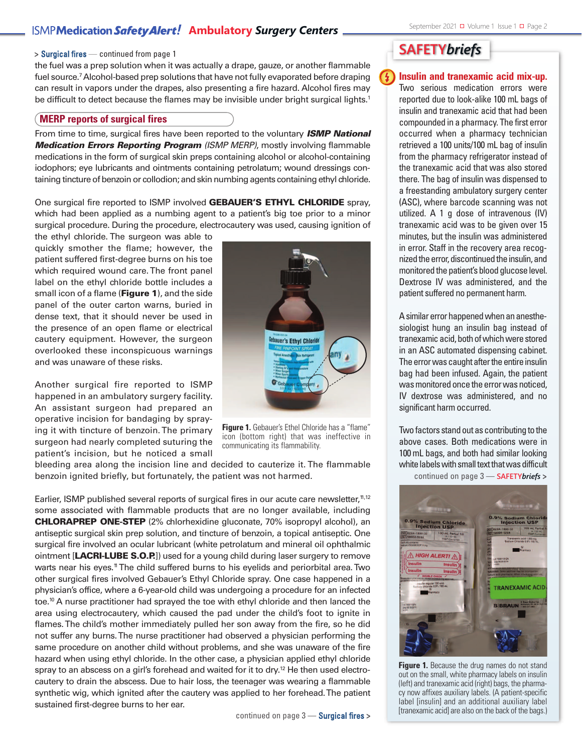### **ISMP Medication Safety Alert!** Ambulatory Surgery Centers **September 2021 Divolume 1 Issue 1 Di** Page 2

#### **>** Surgical fires — continued from page 1

the fuel was a prep solution when it was actually a drape, gauze, or another flammable fuel source. 7Alcohol-based prep solutions that have not fully evaporated before draping can result in vapors under the drapes, also presenting a fire hazard. Alcohol fires may be difficult to detect because the flames may be invisible under bright surgical lights.<sup>1</sup>

#### **MERP reports of surgical fires**

From time to time, surgical fires have been reported to the voluntary *ISMP National Medication Errors Reporting Program (ISMP MERP)*, mostly involving flammable medications in the form of surgical skin preps containing alcohol or alcohol-containing iodophors; eye lubricants and ointments containing petrolatum; wound dressings containing tincture of benzoin or collodion; and skin numbing agents containing ethyl chloride.

One surgical fire reported to ISMP involved **GEBAUER'S ETHYL CHLORIDE** spray, which had been applied as a numbing agent to a patient's big toe prior to a minor surgical procedure. During the procedure, electrocautery was used, causing ignition of

the ethyl chloride. The surgeon was able to quickly smother the flame; however, the patient suffered first-degree burns on his toe which required wound care.The front panel label on the ethyl chloride bottle includes a small icon of a flame (**Figure 1**), and the side panel of the outer carton warns, buried in dense text, that it should never be used in the presence of an open flame or electrical cautery equipment. However, the surgeon overlooked these inconspicuous warnings and was unaware of these risks.

Another surgical fire reported to ISMP happened in an ambulatory surgery facility. An assistant surgeon had prepared an operative incision for bandaging by spraying it with tincture of benzoin.The primary surgeon had nearly completed suturing the patient's incision, but he noticed a small



**Figure 1.** Gebauer's Ethel Chloride has a "flame" icon (bottom right) that was ineffective in communicating its flammability.

bleeding area along the incision line and decided to cauterize it. The flammable benzoin ignited briefly, but fortunately, the patient was not harmed.

Earlier, ISMP published several reports of surgical fires in our acute care newsletter,<sup>n,12</sup> some associated with flammable products that are no longer available, including **CHLORAPREP ONE-STEP** (2% chlorhexidine gluconate, 70% isopropyl alcohol), an antiseptic surgical skin prep solution, and tincture of benzoin, a topical antiseptic. One surgical fire involved an ocular lubricant (white petrolatum and mineral oil ophthalmic ointment [**LACRI-LUBE S.O.P.**]) used for a young child during laser surgery to remove warts near his eyes.<sup>n</sup> The child suffered burns to his eyelids and periorbital area. Two other surgical fires involved Gebauer's Ethyl Chloride spray. One case happened in a physician's office, where a 6-year-old child was undergoing a procedure for an infected toe. <sup>10</sup> A nurse practitioner had sprayed the toe with ethyl chloride and then lanced the area using electrocautery, which caused the pad under the child's foot to ignite in flames.The child's mother immediately pulled her son away from the fire, so he did not suffer any burns.The nurse practitioner had observed a physician performing the same procedure on another child without problems, and she was unaware of the fire hazard when using ethyl chloride. In the other case, a physician applied ethyl chloride spray to an abscess on a girl's forehead and waited for it to dry.<sup>12</sup> He then used electrocautery to drain the abscess. Due to hair loss, the teenager was wearing a flammable synthetic wig, which ignited after the cautery was applied to her forehead.The patient sustained first-degree burns to her ear.

continued on page 3 — Surgical fires **>**

### **SAFETY***briefs*

Ή

**Insulin and tranexamic acid mix-up.** Two serious medication errors were reported due to look-alike 100 mL bags of insulin and tranexamic acid that had been compounded in a pharmacy. The first error occurred when a pharmacy technician retrieved a 100 units/100 mL bag of insulin from the pharmacy refrigerator instead of the tranexamic acid that was also stored there. The bag of insulin was dispensed to a freestanding ambulatory surgery center (ASC), where barcode scanning was not utilized. A 1 g dose of intravenous (IV) tranexamic acid was to be given over 15 minutes, but the insulin was administered in error. Staff in the recovery area recognized the error, discontinued the insulin, and monitored the patient's blood glucose level. Dextrose IV was administered, and the patient suffered no permanent harm.

A similar error happened when an anesthesiologist hung an insulin bag instead of tranexamic acid, both of which were stored in an ASC automated dispensing cabinet. The error was caught after the entire insulin bag had been infused. Again, the patient was monitored once the error was noticed, IV dextrose was administered, and no significant harm occurred.

Two factors stand out as contributing to the above cases. Both medications were in 100 mL bags, and both had similar looking white labels with small text that was difficult continued on page 3 — **SAFETY***briefs* **>**



**Figure 1.** Because the drug names do not stand out on the small, white pharmacy labels on insulin (left) and tranexamic acid (right) bags, the pharmacy now affixes auxiliary labels. (A patient-specific label [insulin] and an additional auxiliary label [tranexamic acid] are also on the back of the bags.)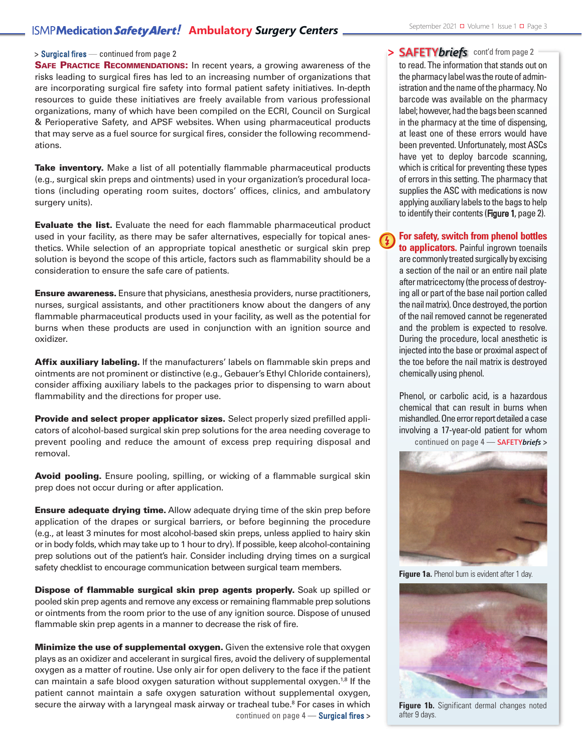### **ISMP Medication Safety Alert!** Ambulatory Surgery Centers **September 2021 Divolume 1 Issue 1 Di** Page 3

**SAFE PRACTICE RECOMMENDATIONS:** In recent years, a growing awareness of the risks leading to surgical fires has led to an increasing number of organizations that are incorporating surgical fire safety into formal patient safety initiatives. In-depth resources to guide these initiatives are freely available from various professional organizations, many of which have been compiled on the ECRI, Council on Surgical & Perioperative Safety, and APSF websites. When using pharmaceutical products that may serve as a fuel source for surgical fires, consider the following recommendations.

**Take inventory.** Make a list of all potentially flammable pharmaceutical products (e.g., surgical skin preps and ointments) used in your organization's procedural locations (including operating room suites, doctors' offices, clinics, and ambulatory surgery units).

**Evaluate the list.** Evaluate the need for each flammable pharmaceutical product used in your facility, as there may be safer alternatives, especially for topical anesthetics. While selection of an appropriate topical anesthetic or surgical skin prep solution is beyond the scope of this article, factors such as flammability should be a consideration to ensure the safe care of patients.

**Ensure awareness.** Ensure that physicians, anesthesia providers, nurse practitioners, nurses, surgical assistants, and other practitioners know about the dangers of any flammable pharmaceutical products used in your facility, as well as the potential for burns when these products are used in conjunction with an ignition source and oxidizer.

**Affix auxiliary labeling.** If the manufacturers' labels on flammable skin preps and ointments are not prominent or distinctive (e.g., Gebauer's Ethyl Chloride containers), consider affixing auxiliary labels to the packages prior to dispensing to warn about flammability and the directions for proper use.

**Provide and select proper applicator sizes.** Select properly sized prefilled applicators of alcohol-based surgical skin prep solutions for the area needing coverage to prevent pooling and reduce the amount of excess prep requiring disposal and removal.

**Avoid pooling.** Ensure pooling, spilling, or wicking of a flammable surgical skin prep does not occur during or after application.

**Ensure adequate drying time.** Allow adequate drying time of the skin prep before application of the drapes or surgical barriers, or before beginning the procedure (e.g., at least 3 minutes for most alcohol-based skin preps, unless applied to hairy skin orin body folds, which may take up to 1 hourto dry). If possible, keep alcohol-containing prep solutions out of the patient's hair. Consider including drying times on a surgical safety checklist to encourage communication between surgical team members.

**Dispose of flammable surgical skin prep agents properly.** Soak up spilled or pooled skin prep agents and remove any excess orremaining flammable prep solutions or ointments from the room prior to the use of any ignition source. Dispose of unused flammable skin prep agents in a manner to decrease the risk of fire.

**Minimize the use of supplemental oxygen.** Given the extensive role that oxygen plays as an oxidizer and accelerant in surgical fires, avoid the delivery of supplemental oxygen as a matter of routine. Use only air for open delivery to the face if the patient can maintain a safe blood oxygen saturation without supplemental oxygen.<sup>1,8</sup> If the patient cannot maintain a safe oxygen saturation without supplemental oxygen, secure the airway with a laryngeal mask airway or tracheal tube. <sup>8</sup> For cases in which continued on page 4 — Surgical fires **>**

### **SAFETY***briefs* cont'd from page <sup>2</sup>

to read. The information that stands out on the pharmacy label was the route of administration and the name of the pharmacy. No barcode was available on the pharmacy label; however, had the bags been scanned in the pharmacy at the time of dispensing, at least one of these errors would have been prevented. Unfortunately, most ASCs have yet to deploy barcode scanning, which is critical for preventing these types of errors in this setting. The pharmacy that supplies the ASC with medications is now applying auxiliary labels to the bags to help to identify their contents (Figure 1, page 2).

### **For safety, switch from phenol bottles**

**to applicators.** Painful ingrown toenails are commonly treated surgically by excising a section of the nail or an entire nail plate after matricectomy (the process of destroying all or part of the base nail portion called the nail matrix). Once destroyed, the portion of the nail removed cannot be regenerated and the problem is expected to resolve. During the procedure, local anesthetic is injected into the base or proximal aspect of the toe before the nail matrix is destroyed chemically using phenol.

Phenol, or carbolic acid, is a hazardous chemical that can result in burns when mishandled. One error report detailed a case involving a 17-year-old patient for whom

continued on page 4 — **SAFETY***briefs* **>**



**Figure 1a.** Phenol burn is evident after 1 day.



**Figure 1b.** Significant dermal changes noted after 9 days.